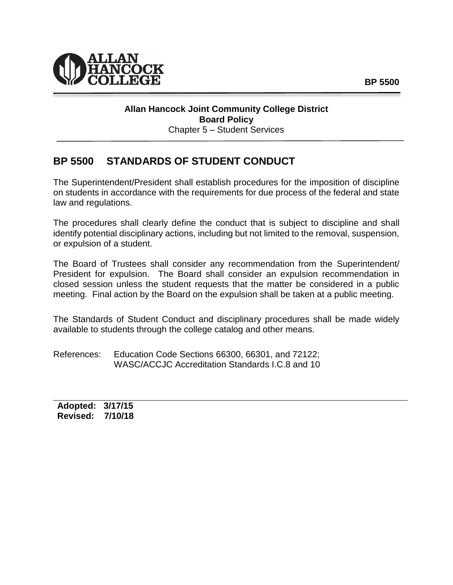

## **Allan Hancock Joint Community College District Board Policy** Chapter 5 – Student Services

## **BP 5500 STANDARDS OF STUDENT CONDUCT**

The Superintendent/President shall establish procedures for the imposition of discipline on students in accordance with the requirements for due process of the federal and state law and regulations.

The procedures shall clearly define the conduct that is subject to discipline and shall identify potential disciplinary actions, including but not limited to the removal, suspension, or expulsion of a student.

The Board of Trustees shall consider any recommendation from the Superintendent/ President for expulsion. The Board shall consider an expulsion recommendation in closed session unless the student requests that the matter be considered in a public meeting. Final action by the Board on the expulsion shall be taken at a public meeting.

The Standards of Student Conduct and disciplinary procedures shall be made widely available to students through the college catalog and other means.

References: Education Code Sections 66300, 66301, and 72122; WASC/ACCJC Accreditation Standards I.C.8 and 10

**Adopted: 3/17/15 Revised: 7/10/18**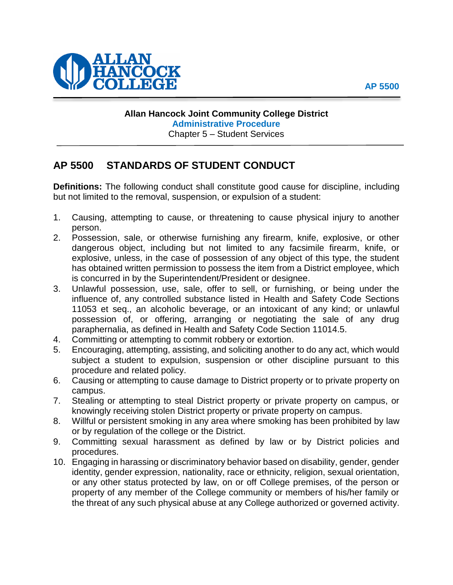



## **Allan Hancock Joint Community College District Administrative Procedure** Chapter 5 – Student Services

## **AP 5500 STANDARDS OF STUDENT CONDUCT**

**Definitions:** The following conduct shall constitute good cause for discipline, including but not limited to the removal, suspension, or expulsion of a student:

- 1. Causing, attempting to cause, or threatening to cause physical injury to another person.
- 2. Possession, sale, or otherwise furnishing any firearm, knife, explosive, or other dangerous object, including but not limited to any facsimile firearm, knife, or explosive, unless, in the case of possession of any object of this type, the student has obtained written permission to possess the item from a District employee, which is concurred in by the Superintendent/President or designee.
- 3. Unlawful possession, use, sale, offer to sell, or furnishing, or being under the influence of, any controlled substance listed in Health and Safety Code Sections 11053 et seq., an alcoholic beverage, or an intoxicant of any kind; or unlawful possession of, or offering, arranging or negotiating the sale of any drug paraphernalia, as defined in Health and Safety Code Section 11014.5.
- 4. Committing or attempting to commit robbery or extortion.
- 5. Encouraging, attempting, assisting, and soliciting another to do any act, which would subject a student to expulsion, suspension or other discipline pursuant to this procedure and related policy.
- 6. Causing or attempting to cause damage to District property or to private property on campus.
- 7. Stealing or attempting to steal District property or private property on campus, or knowingly receiving stolen District property or private property on campus.
- 8. Willful or persistent smoking in any area where smoking has been prohibited by law or by regulation of the college or the District.
- 9. Committing sexual harassment as defined by law or by District policies and procedures.
- 10. Engaging in harassing or discriminatory behavior based on disability, gender, gender identity, gender expression, nationality, race or ethnicity, religion, sexual orientation, or any other status protected by law, on or off College premises, of the person or property of any member of the College community or members of his/her family or the threat of any such physical abuse at any College authorized or governed activity.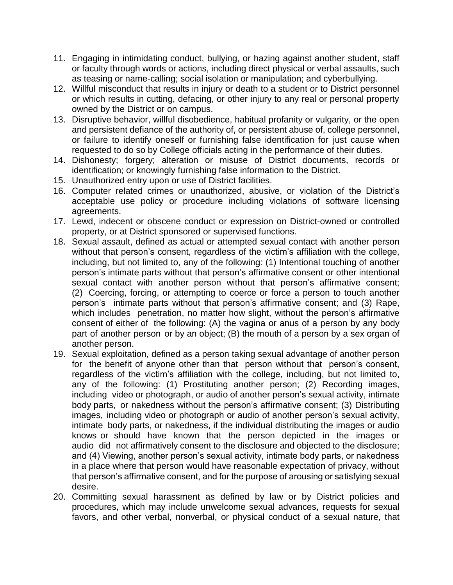- 11. Engaging in intimidating conduct, bullying, or hazing against another student, staff or faculty through words or actions, including direct physical or verbal assaults, such as teasing or name-calling; social isolation or manipulation; and cyberbullying.
- 12. Willful misconduct that results in injury or death to a student or to District personnel or which results in cutting, defacing, or other injury to any real or personal property owned by the District or on campus.
- 13. Disruptive behavior, willful disobedience, habitual profanity or vulgarity, or the open and persistent defiance of the authority of, or persistent abuse of, college personnel, or failure to identify oneself or furnishing false identification for just cause when requested to do so by College officials acting in the performance of their duties.
- 14. Dishonesty; forgery; alteration or misuse of District documents, records or identification; or knowingly furnishing false information to the District.
- 15. Unauthorized entry upon or use of District facilities.
- 16. Computer related crimes or unauthorized, abusive, or violation of the District's acceptable use policy or procedure including violations of software licensing agreements.
- 17. Lewd, indecent or obscene conduct or expression on District-owned or controlled property, or at District sponsored or supervised functions.
- 18. Sexual assault, defined as actual or attempted sexual contact with another person without that person's consent, regardless of the victim's affiliation with the college, including, but not limited to, any of the following: (1) Intentional touching of another person's intimate parts without that person's affirmative consent or other intentional sexual contact with another person without that person's affirmative consent; (2) Coercing, forcing, or attempting to coerce or force a person to touch another person's intimate parts without that person's affirmative consent; and (3) Rape, which includes penetration, no matter how slight, without the person's affirmative consent of either of the following: (A) the vagina or anus of a person by any body part of another person or by an object; (B) the mouth of a person by a sex organ of another person.
- 19. Sexual exploitation, defined as a person taking sexual advantage of another person for the benefit of anyone other than that person without that person's consent, regardless of the victim's affiliation with the college, including, but not limited to, any of the following: (1) Prostituting another person; (2) Recording images, including video or photograph, or audio of another person's sexual activity, intimate body parts, or nakedness without the person's affirmative consent; (3) Distributing images, including video or photograph or audio of another person's sexual activity, intimate body parts, or nakedness, if the individual distributing the images or audio knows or should have known that the person depicted in the images or audio did not affirmatively consent to the disclosure and objected to the disclosure; and (4) Viewing, another person's sexual activity, intimate body parts, or nakedness in a place where that person would have reasonable expectation of privacy, without that person's affirmative consent, and for the purpose of arousing or satisfying sexual desire.
- 20. Committing sexual harassment as defined by law or by District policies and procedures, which may include unwelcome sexual advances, requests for sexual favors, and other verbal, nonverbal, or physical conduct of a sexual nature, that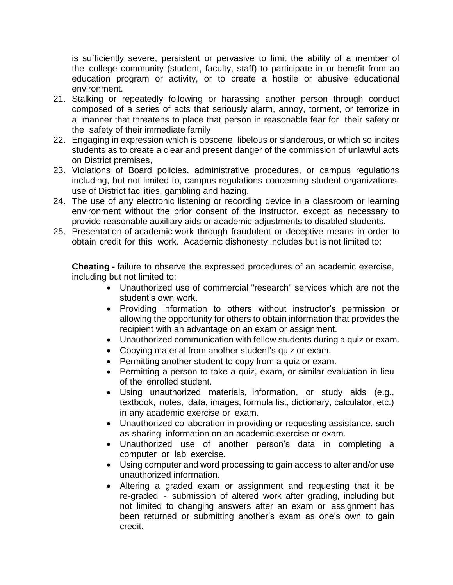is sufficiently severe, persistent or pervasive to limit the ability of a member of the college community (student, faculty, staff) to participate in or benefit from an education program or activity, or to create a hostile or abusive educational environment.

- 21. Stalking or repeatedly following or harassing another person through conduct composed of a series of acts that seriously alarm, annoy, torment, or terrorize in a manner that threatens to place that person in reasonable fear for their safety or the safety of their immediate family
- 22. Engaging in expression which is obscene, libelous or slanderous, or which so incites students as to create a clear and present danger of the commission of unlawful acts on District premises,
- 23. Violations of Board policies, administrative procedures, or campus regulations including, but not limited to, campus regulations concerning student organizations, use of District facilities, gambling and hazing.
- 24. The use of any electronic listening or recording device in a classroom or learning environment without the prior consent of the instructor, except as necessary to provide reasonable auxiliary aids or academic adjustments to disabled students.
- 25. Presentation of academic work through fraudulent or deceptive means in order to obtain credit for this work. Academic dishonesty includes but is not limited to:

**Cheating -** failure to observe the expressed procedures of an academic exercise, including but not limited to:

- Unauthorized use of commercial "research" services which are not the student's own work.
- Providing information to others without instructor's permission or allowing the opportunity for others to obtain information that provides the recipient with an advantage on an exam or assignment.
- Unauthorized communication with fellow students during a quiz or exam.
- Copying material from another student's quiz or exam.
- Permitting another student to copy from a quiz or exam.
- Permitting a person to take a quiz, exam, or similar evaluation in lieu of the enrolled student.
- Using unauthorized materials, information, or study aids (e.g., textbook, notes, data, images, formula list, dictionary, calculator, etc.) in any academic exercise or exam.
- Unauthorized collaboration in providing or requesting assistance, such as sharing information on an academic exercise or exam.
- Unauthorized use of another person's data in completing a computer or lab exercise.
- Using computer and word processing to gain access to alter and/or use unauthorized information.
- Altering a graded exam or assignment and requesting that it be re-graded - submission of altered work after grading, including but not limited to changing answers after an exam or assignment has been returned or submitting another's exam as one's own to gain credit.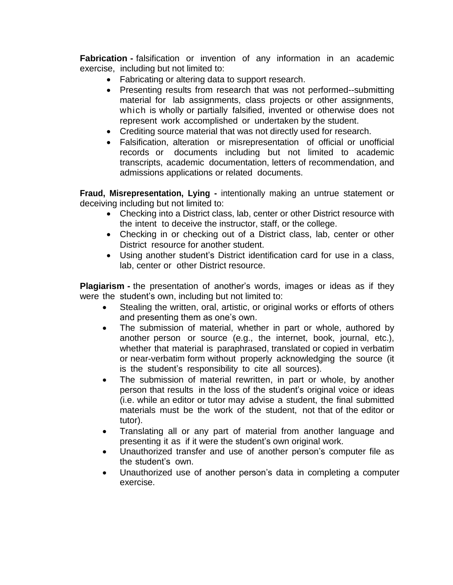**Fabrication** - falsification or invention of any information in an academic exercise, including but not limited to:

- Fabricating or altering data to support research.
- Presenting results from research that was not performed--submitting material for lab assignments, class projects or other assignments, which is wholly or partially falsified, invented or otherwise does not represent work accomplished or undertaken by the student.
- Crediting source material that was not directly used for research.
- Falsification, alteration or misrepresentation of official or unofficial records or documents including but not limited to academic transcripts, academic documentation, letters of recommendation, and admissions applications or related documents.

**Fraud, Misrepresentation, Lying -** intentionally making an untrue statement or deceiving including but not limited to:

- Checking into a District class, lab, center or other District resource with the intent to deceive the instructor, staff, or the college.
- Checking in or checking out of a District class, lab, center or other District resource for another student.
- Using another student's District identification card for use in a class, lab, center or other District resource.

**Plagiarism -** the presentation of another's words, images or ideas as if they were the student's own, including but not limited to:

- Stealing the written, oral, artistic, or original works or efforts of others and presenting them as one's own.
- The submission of material, whether in part or whole, authored by another person or source (e.g., the internet, book, journal, etc.), whether that material is paraphrased, translated or copied in verbatim or near-verbatim form without properly acknowledging the source (it is the student's responsibility to cite all sources).
- The submission of material rewritten, in part or whole, by another person that results in the loss of the student's original voice or ideas (i.e. while an editor or tutor may advise a student, the final submitted materials must be the work of the student, not that of the editor or tutor).
- Translating all or any part of material from another language and presenting it as if it were the student's own original work.
- Unauthorized transfer and use of another person's computer file as the student's own.
- Unauthorized use of another person's data in completing a computer exercise.